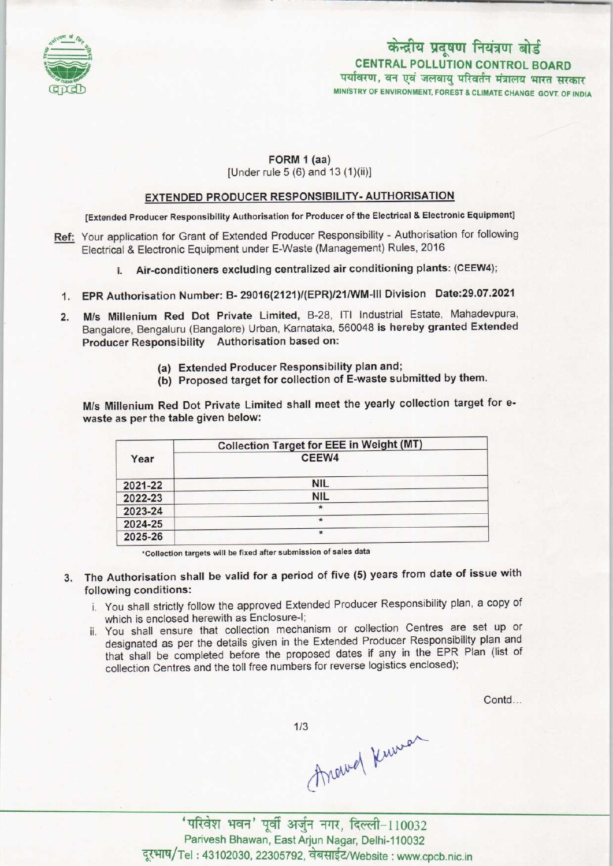

# केन्द्रीय प्रदूषण नियंत्रण बोर्ड CENTRAL POLLUTION CONTROL BOARDपर्यावरण, वन एवं जलवायु परिवर्तन मंत्रालय भारत सरकार<br>MINISTRY OF ENVIRONMENT. FOREST & CLIMATE CHANGE GOVT. OF INDIA

# FORM 1 (aa) [Under rule 5 (6) and 13 (1)(ii)]

## EXTENDED PRODUCER RESPONSIBILITY- AUTHORISATION

[Extended Producer Responsibility Authorisation for Producer of the Electrical & Electronic Equipment]

- Ref: Your application for Grant of Extended Producer Responsibility Authorisation for following Electrical & Electronic Equipment under E-Waste (Management) Rules, 2016
	- I. Air-conditioners excluding centralized air conditioning plants: (CEEW4);
	- 1.EPR Authorisation Number: B- 29016(2121)/(EPR)/21/WM-lll Division Date:29.07.2021
	- 2.M/s Millenium Red Dot Private Limited, B-28, ITI Industrial Estate, Mahadevpura, Bangalore, Bengaluru (Bangalore) Urban, Karnataka, 560048 is hereby granted Extended Producer Responsibility Authorisation based on:
		- (a) Extended Producer Responsibility plan and;
		- (b) Proposed target for collection of E-waste submitted by them.

M/s Millenium Red Dot Private Limited shall meet the yearly collection target for ewaste as per the table given below:

| Year    | <b>Collection Target for EEE in Weight (MT)</b> |  |
|---------|-------------------------------------------------|--|
|         | CEEW4                                           |  |
| 2021-22 | <b>NIL</b>                                      |  |
| 2022-23 | <b>NIL</b>                                      |  |
| 2023-24 | ∗                                               |  |
| 2024-25 | $\star$                                         |  |
| 2025-26 | $\star$                                         |  |

'Collection targets will be fixed after submission of sales data

- 3. The Authorisation shall be valid for a period of five (5) years from date of issue with following conditions:
	- i. You shall strictly follow the approved Extended Producer Responsibility plan, a copy of which is enclosed herewith as Enclosure-I;
	- ii. You shall ensure that collection mechanism or collection Centres are set up or designated as per the details given in the Extended Producer Responsibility plan and that shall be completed before the proposed dates if any in the EPR Plan (list of collection Centres and the toll free numbers for reverse logistics enclosed);

Contd...

 $1/3$ 

Around Kuman

' परिवेश भवन' पूर्वी अर्जुन नगर, दिल्ली-110032 Parivesh Bhawan, EastArjun Nagar, Delhi-110032 दूरभाष/Tel: 43102030, 22305792, वेबसाईट/Website: www.cpcb.nic.in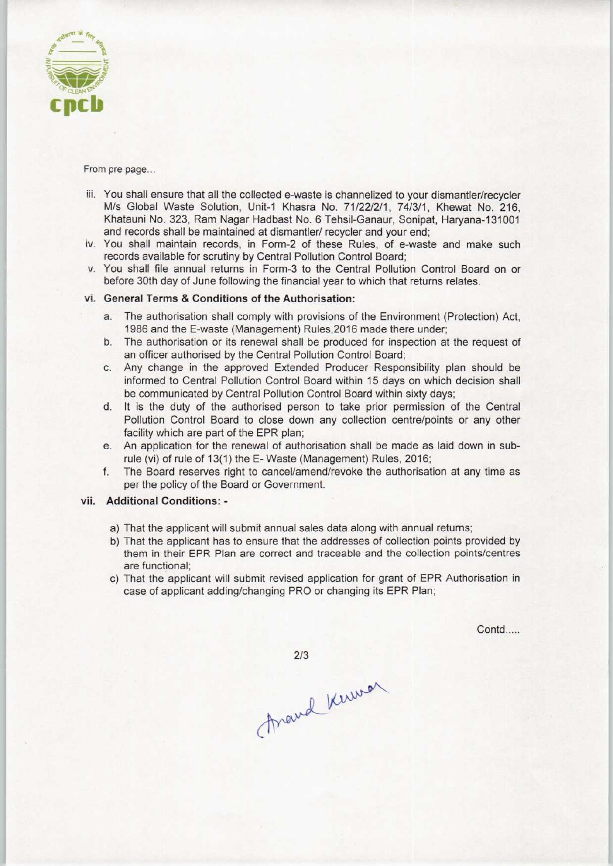

#### From pre page...

- iii. You shall ensure that all the collected e-waste is channelized to your dismantler/recycler M/s Global Waste Solution, Unit-1 Khasra No. 71/22/2/1, 74/3/1, Khewat No. 216, Khatauni No. 323, Ram Nagar Hadbast No. 6 Tehsil-Ganaur, Sonipat, Haryana-131001 and records shall be maintained at dismantler/ recycler and your end;
- iv. You shall maintain records, in Form-2 of these Rules, of e-waste and make such records available for scrutiny by Central Pollution Control Board;
- v. You shall file annual returns in Form-3 to the Central Pollution Control Board on or before 30th day of June following the financial year to which that returns relates.

## vi. General Terms & Conditions of the Authorisation:

- a.The authorisation shall comply with provisions ofthe Environment (Protection) Act, 1986 and the E-waste (Management) Rules,2016 made there under;
- b.The authorisation or its renewal shall be produced for inspection at the request of an officer authorised by the Central Pollution Control Board;
- c.Any change in the approved Extended Producer Responsibility plan should be informed to Central Pollution Control Board within 15 days on which decision shall be communicated by Central Pollution Control Board within sixty days;
- d. It is the duty of the authorised person to take prior permission of the Central Pollution Control Board to close down any collection centre/points or any other facility which are part of the EPR plan;
- e.An application for the renewal of authorisation shall be made aslaid down in subrule (vi) of rule of 13(1) the E- Waste (Management) Rules, 2016;
- f. The Board reserves right to cancel/amend/revoke the authorisation at any time as per the policy of the Board or Government.

# vii. Additional Conditions: -

- a) That the applicant will submit annual sales data along with annual returns;
- b) That the applicant has to ensure that the addresses of collection points provided by them in their EPR Plan are correct and traceable and the collection points/centres are functional;
- c) That the applicant will submit revised application for grant of EPR Authorisation in case of applicant adding/changing PRO or changing its EPR Plan;

Contd.....

 $2/3$ 

Frand Kerman